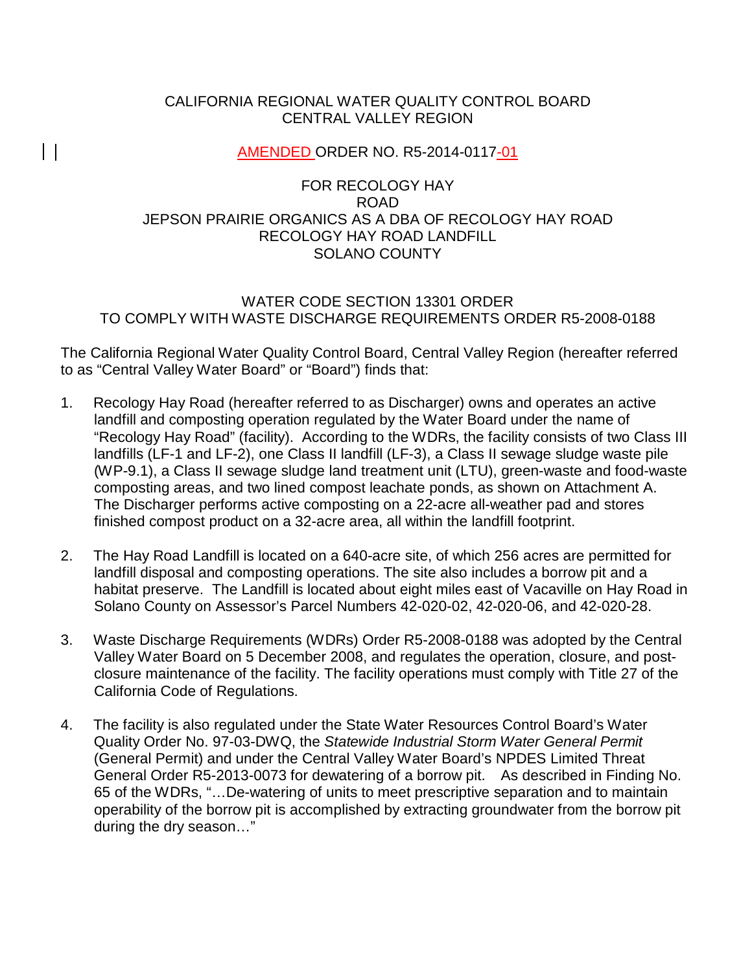## CALIFORNIA REGIONAL WATER QUALITY CONTROL BOARD CENTRAL VALLEY REGION

# AMENDED ORDER NO. R5-2014-0117-01

 $\vert \ \vert$ 

## FOR RECOLOGY HAY ROAD JEPSON PRAIRIE ORGANICS AS A DBA OF RECOLOGY HAY ROAD RECOLOGY HAY ROAD LANDFILL SOLANO COUNTY

## WATER CODE SECTION 13301 ORDER TO COMPLY WITH WASTE DISCHARGE REQUIREMENTS ORDER R5-2008-0188

The California Regional Water Quality Control Board, Central Valley Region (hereafter referred to as "Central Valley Water Board" or "Board") finds that:

- 1. Recology Hay Road (hereafter referred to as Discharger) owns and operates an active landfill and composting operation regulated by the Water Board under the name of "Recology Hay Road" (facility). According to the WDRs, the facility consists of two Class III landfills (LF-1 and LF-2), one Class II landfill (LF-3), a Class II sewage sludge waste pile (WP-9.1), a Class II sewage sludge land treatment unit (LTU), green-waste and food-waste composting areas, and two lined compost leachate ponds, as shown on Attachment A. The Discharger performs active composting on a 22-acre all-weather pad and stores finished compost product on a 32-acre area, all within the landfill footprint.
- 2. The Hay Road Landfill is located on a 640-acre site, of which 256 acres are permitted for landfill disposal and composting operations. The site also includes a borrow pit and a habitat preserve. The Landfill is located about eight miles east of Vacaville on Hay Road in Solano County on Assessor's Parcel Numbers 42-020-02, 42-020-06, and 42-020-28.
- 3. Waste Discharge Requirements (WDRs) Order R5-2008-0188 was adopted by the Central Valley Water Board on 5 December 2008, and regulates the operation, closure, and postclosure maintenance of the facility. The facility operations must comply with Title 27 of the California Code of Regulations.
- 4. The facility is also regulated under the State Water Resources Control Board's Water Quality Order No. 97-03-DWQ, the *Statewide Industrial Storm Water General Permit*  (General Permit) and under the Central Valley Water Board's NPDES Limited Threat General Order R5-2013-0073 for dewatering of a borrow pit. As described in Finding No. 65 of the WDRs, "…De-watering of units to meet prescriptive separation and to maintain operability of the borrow pit is accomplished by extracting groundwater from the borrow pit during the dry season…"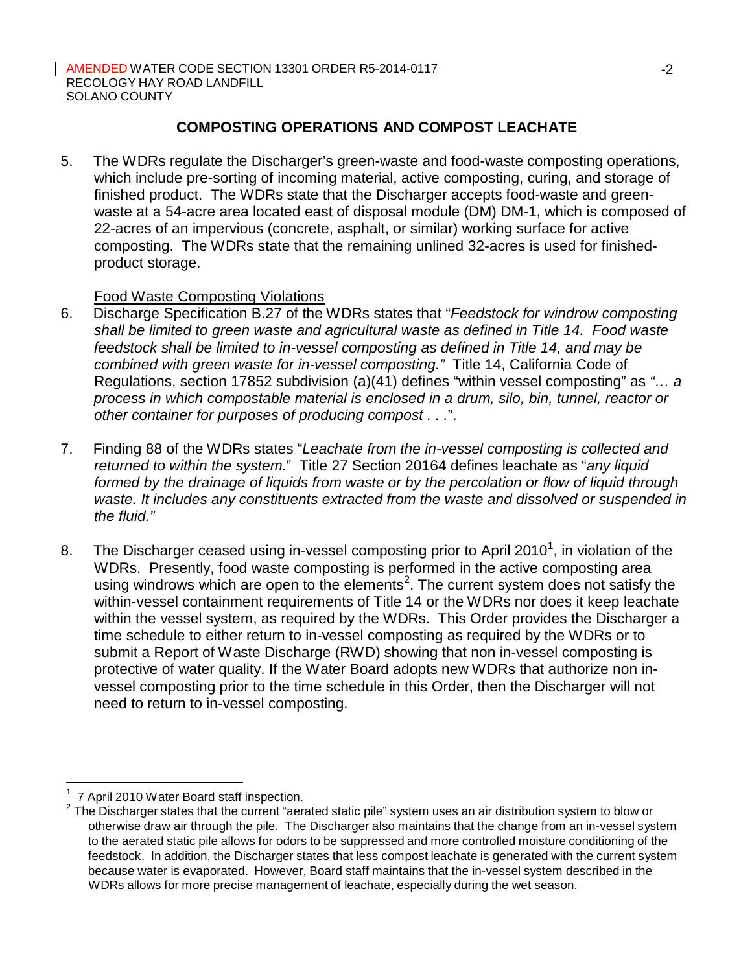# **COMPOSTING OPERATIONS AND COMPOST LEACHATE**

5. The WDRs regulate the Discharger's green-waste and food-waste composting operations, which include pre-sorting of incoming material, active composting, curing, and storage of finished product. The WDRs state that the Discharger accepts food-waste and greenwaste at a 54-acre area located east of disposal module (DM) DM-1, which is composed of 22-acres of an impervious (concrete, asphalt, or similar) working surface for active composting. The WDRs state that the remaining unlined 32-acres is used for finishedproduct storage.

## Food Waste Composting Violations

- 6. Discharge Specification B.27 of the WDRs states that "*Feedstock for windrow composting shall be limited to green waste and agricultural waste as defined in Title 14. Food waste feedstock shall be limited to in-vessel composting as defined in Title 14, and may be combined with green waste for in-vessel composting."* Title 14, California Code of Regulations, section 17852 subdivision (a)(41) defines "within vessel composting" as *"… a process in which compostable material is enclosed in a drum, silo, bin, tunnel, reactor or other container for purposes of producing compost . . .*".
- 7. Finding 88 of the WDRs states "*Leachate from the in-vessel composting is collected and returned to within the system*." Title 27 Section 20164 defines leachate as "*any liquid formed by the drainage of liquids from waste or by the percolation or flow of liquid through waste. It includes any constituents extracted from the waste and dissolved or suspended in the fluid."*
- 8. The Discharger ceased using in-vessel composting prior to April 2010<sup>1</sup>, in violation of the WDRs. Presently, food waste composting is performed in the active composting area using windrows which are open to the elements<sup>2</sup>. The current system does not satisfy the within-vessel containment requirements of Title 14 or the WDRs nor does it keep leachate within the vessel system, as required by the WDRs. This Order provides the Discharger a time schedule to either return to in-vessel composting as required by the WDRs or to submit a Report of Waste Discharge (RWD) showing that non in-vessel composting is protective of water quality. If the Water Board adopts new WDRs that authorize non invessel composting prior to the time schedule in this Order, then the Discharger will not need to return to in-vessel composting.

 $1$  7 April 2010 Water Board staff inspection.

 $2$  The Discharger states that the current "aerated static pile" system uses an air distribution system to blow or otherwise draw air through the pile. The Discharger also maintains that the change from an in-vessel system to the aerated static pile allows for odors to be suppressed and more controlled moisture conditioning of the feedstock. In addition, the Discharger states that less compost leachate is generated with the current system because water is evaporated. However, Board staff maintains that the in-vessel system described in the WDRs allows for more precise management of leachate, especially during the wet season.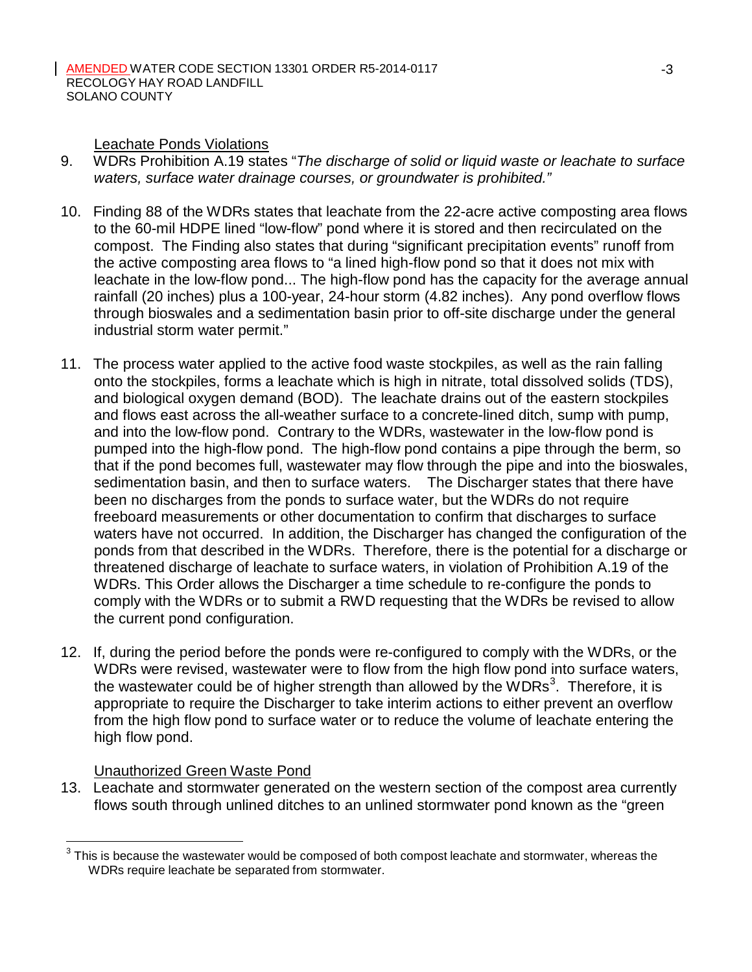Leachate Ponds Violations

- 9. WDRs Prohibition A.19 states "*The discharge of solid or liquid waste or leachate to surface waters, surface water drainage courses, or groundwater is prohibited."*
- 10. Finding 88 of the WDRs states that leachate from the 22-acre active composting area flows to the 60-mil HDPE lined "low-flow" pond where it is stored and then recirculated on the compost. The Finding also states that during "significant precipitation events" runoff from the active composting area flows to "a lined high-flow pond so that it does not mix with leachate in the low-flow pond... The high-flow pond has the capacity for the average annual rainfall (20 inches) plus a 100-year, 24-hour storm (4.82 inches). Any pond overflow flows through bioswales and a sedimentation basin prior to off-site discharge under the general industrial storm water permit."
- 11. The process water applied to the active food waste stockpiles, as well as the rain falling onto the stockpiles, forms a leachate which is high in nitrate, total dissolved solids (TDS), and biological oxygen demand (BOD). The leachate drains out of the eastern stockpiles and flows east across the all-weather surface to a concrete-lined ditch, sump with pump, and into the low-flow pond. Contrary to the WDRs, wastewater in the low-flow pond is pumped into the high-flow pond. The high-flow pond contains a pipe through the berm, so that if the pond becomes full, wastewater may flow through the pipe and into the bioswales, sedimentation basin, and then to surface waters. The Discharger states that there have been no discharges from the ponds to surface water, but the WDRs do not require freeboard measurements or other documentation to confirm that discharges to surface waters have not occurred. In addition, the Discharger has changed the configuration of the ponds from that described in the WDRs. Therefore, there is the potential for a discharge or threatened discharge of leachate to surface waters, in violation of Prohibition A.19 of the WDRs. This Order allows the Discharger a time schedule to re-configure the ponds to comply with the WDRs or to submit a RWD requesting that the WDRs be revised to allow the current pond configuration.
- 12. If, during the period before the ponds were re-configured to comply with the WDRs, or the WDRs were revised, wastewater were to flow from the high flow pond into surface waters, the wastewater could be of higher strength than allowed by the WDRs<sup>3</sup>. Therefore, it is appropriate to require the Discharger to take interim actions to either prevent an overflow from the high flow pond to surface water or to reduce the volume of leachate entering the high flow pond.

# Unauthorized Green Waste Pond

13. Leachate and stormwater generated on the western section of the compost area currently flows south through unlined ditches to an unlined stormwater pond known as the "green

 $3$  This is because the wastewater would be composed of both compost leachate and stormwater, whereas the WDRs require leachate be separated from stormwater.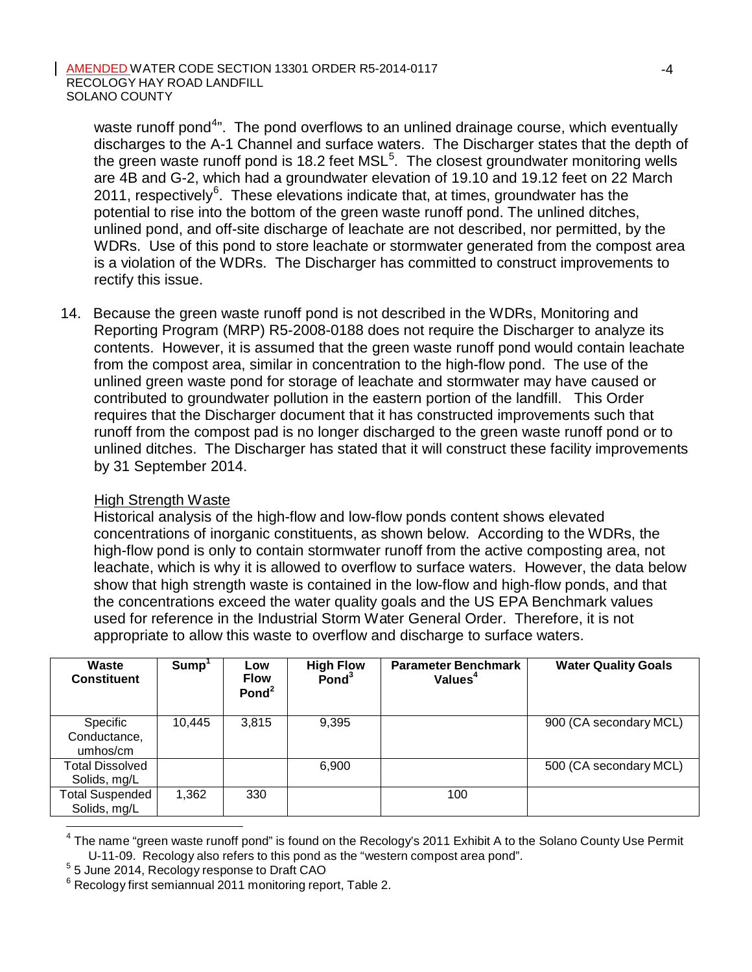waste runoff pond<sup>4</sup>". The pond overflows to an unlined drainage course, which eventually discharges to the A-1 Channel and surface waters. The Discharger states that the depth of the green waste runoff pond is 18.2 feet  $MSL<sup>5</sup>$ . The closest groundwater monitoring wells are 4B and G-2, which had a groundwater elevation of 19.10 and 19.12 feet on 22 March 2011, respectively $^{6}$ . These elevations indicate that, at times, groundwater has the potential to rise into the bottom of the green waste runoff pond. The unlined ditches, unlined pond, and off-site discharge of leachate are not described, nor permitted, by the WDRs. Use of this pond to store leachate or stormwater generated from the compost area is a violation of the WDRs. The Discharger has committed to construct improvements to rectify this issue.

14. Because the green waste runoff pond is not described in the WDRs, Monitoring and Reporting Program (MRP) R5-2008-0188 does not require the Discharger to analyze its contents. However, it is assumed that the green waste runoff pond would contain leachate from the compost area, similar in concentration to the high-flow pond. The use of the unlined green waste pond for storage of leachate and stormwater may have caused or contributed to groundwater pollution in the eastern portion of the landfill. This Order requires that the Discharger document that it has constructed improvements such that runoff from the compost pad is no longer discharged to the green waste runoff pond or to unlined ditches. The Discharger has stated that it will construct these facility improvements by 31 September 2014.

## High Strength Waste

Historical analysis of the high-flow and low-flow ponds content shows elevated concentrations of inorganic constituents, as shown below. According to the WDRs, the high-flow pond is only to contain stormwater runoff from the active composting area, not leachate, which is why it is allowed to overflow to surface waters. However, the data below show that high strength waste is contained in the low-flow and high-flow ponds, and that the concentrations exceed the water quality goals and the US EPA Benchmark values used for reference in the Industrial Storm Water General Order. Therefore, it is not appropriate to allow this waste to overflow and discharge to surface waters.

| Waste<br><b>Constituent</b>            | Sump <sup>1</sup> | Low<br><b>Flow</b><br>Pond $2$ | <b>High Flow</b><br>$P$ ond $3$ | <b>Parameter Benchmark</b><br>Values <sup>4</sup> | <b>Water Quality Goals</b> |
|----------------------------------------|-------------------|--------------------------------|---------------------------------|---------------------------------------------------|----------------------------|
| Specific<br>Conductance,<br>umhos/cm   | 10.445            | 3,815                          | 9,395                           |                                                   | 900 (CA secondary MCL)     |
| Total Dissolved<br>Solids, mg/L        |                   |                                | 6,900                           |                                                   | 500 (CA secondary MCL)     |
| <b>Total Suspended</b><br>Solids, mg/L | 1,362             | 330                            |                                 | 100                                               |                            |

<sup>4</sup> The name "green waste runoff pond" is found on the Recology's 2011 Exhibit A to the Solano County Use Permit U-11-09. Recology also refers to this pond as the "western compost area pond". <sup>5</sup> <sup>5</sup> June 2014, Recology response to Draft CAO

 $6$  Recology first semiannual 2011 monitoring report, Table 2.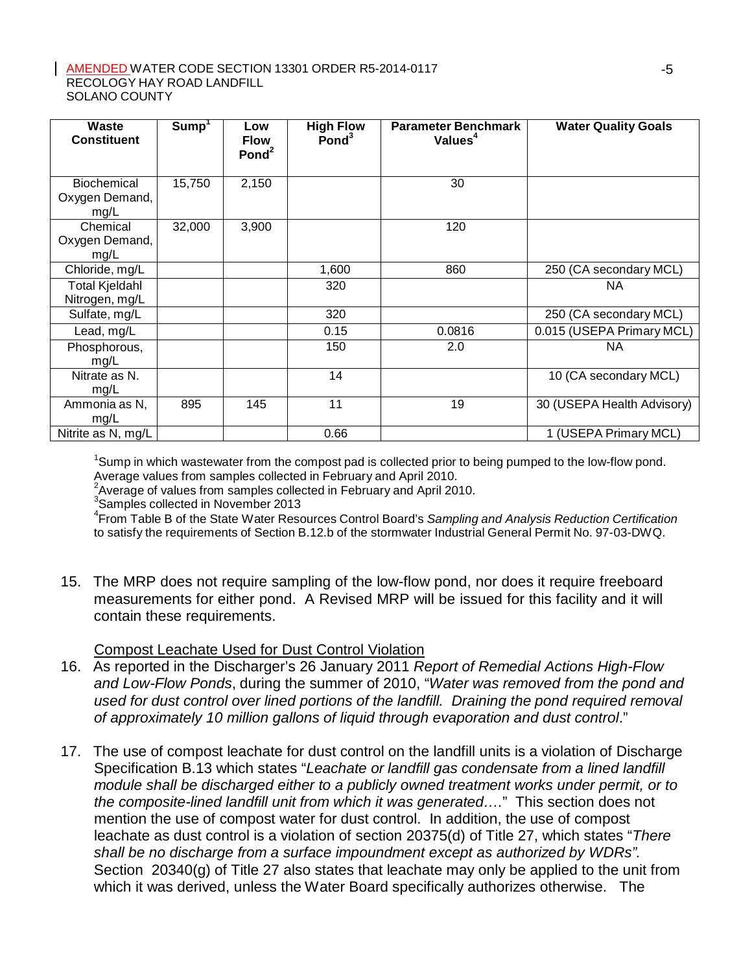| Waste<br><b>Constituent</b>             | Sump <sup>1</sup> | Low<br><b>Flow</b><br>Pond <sup>2</sup> | <b>High Flow</b><br>$P$ ond $3$ | <b>Parameter Benchmark</b><br>Values <sup>4</sup> | <b>Water Quality Goals</b> |
|-----------------------------------------|-------------------|-----------------------------------------|---------------------------------|---------------------------------------------------|----------------------------|
| Biochemical<br>Oxygen Demand,<br>mg/L   | 15,750            | 2,150                                   |                                 | 30                                                |                            |
| Chemical<br>Oxygen Demand,<br>mg/L      | 32,000            | 3,900                                   |                                 | 120                                               |                            |
| Chloride, mg/L                          |                   |                                         | 1,600                           | 860                                               | 250 (CA secondary MCL)     |
| <b>Total Kjeldahl</b><br>Nitrogen, mg/L |                   |                                         | 320                             |                                                   | <b>NA</b>                  |
| Sulfate, mg/L                           |                   |                                         | 320                             |                                                   | 250 (CA secondary MCL)     |
| Lead, mg/L                              |                   |                                         | 0.15                            | 0.0816                                            | 0.015 (USEPA Primary MCL)  |
| Phosphorous,<br>mg/L                    |                   |                                         | 150                             | 2.0                                               | <b>NA</b>                  |
| Nitrate as N.<br>mg/L                   |                   |                                         | 14                              |                                                   | 10 (CA secondary MCL)      |
| Ammonia as N,<br>mg/L                   | 895               | 145                                     | 11                              | 19                                                | 30 (USEPA Health Advisory) |
| Nitrite as N, mg/L                      |                   |                                         | 0.66                            |                                                   | 1 (USEPA Primary MCL)      |

<sup>1</sup>Sump in which wastewater from the compost pad is collected prior to being pumped to the low-flow pond. Average values from samples collected in February and April 2010.

 $2$ Average of values from samples collected in February and April 2010.

3 Samples collected in November 2013

4 From Table B of the State Water Resources Control Board's *Sampling and Analysis Reduction Certification* to satisfy the requirements of Section B.12.b of the stormwater Industrial General Permit No. 97-03-DWQ.

15. The MRP does not require sampling of the low-flow pond, nor does it require freeboard measurements for either pond. A Revised MRP will be issued for this facility and it will contain these requirements.

Compost Leachate Used for Dust Control Violation

- 16. As reported in the Discharger's 26 January 2011 *Report of Remedial Actions High-Flow and Low-Flow Ponds*, during the summer of 2010, "*Water was removed from the pond and used for dust control over lined portions of the landfill. Draining the pond required removal of approximately 10 million gallons of liquid through evaporation and dust control*."
- 17. The use of compost leachate for dust control on the landfill units is a violation of Discharge Specification B.13 which states "*Leachate or landfill gas condensate from a lined landfill module shall be discharged either to a publicly owned treatment works under permit, or to the composite-lined landfill unit from which it was generated….*" This section does not mention the use of compost water for dust control. In addition, the use of compost leachate as dust control is a violation of section 20375(d) of Title 27, which states "*There shall be no discharge from a surface impoundment except as authorized by WDRs".*  Section 20340(g) of Title 27 also states that leachate may only be applied to the unit from which it was derived, unless the Water Board specifically authorizes otherwise. The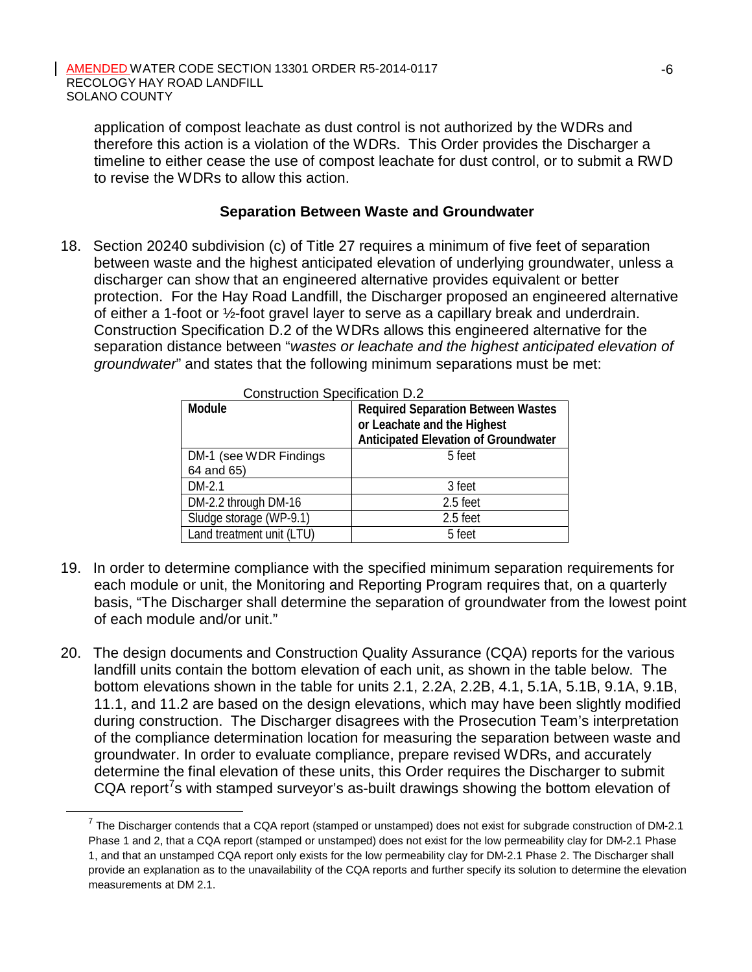application of compost leachate as dust control is not authorized by the WDRs and therefore this action is a violation of the WDRs. This Order provides the Discharger a timeline to either cease the use of compost leachate for dust control, or to submit a RWD to revise the WDRs to allow this action.

### **Separation Between Waste and Groundwater**

18. Section 20240 subdivision (c) of Title 27 requires a minimum of five feet of separation between waste and the highest anticipated elevation of underlying groundwater, unless a discharger can show that an engineered alternative provides equivalent or better protection. For the Hay Road Landfill, the Discharger proposed an engineered alternative of either a 1-foot or ½-foot gravel layer to serve as a capillary break and underdrain. Construction Specification D.2 of the WDRs allows this engineered alternative for the separation distance between "*wastes or leachate and the highest anticipated elevation of groundwater*" and states that the following minimum separations must be met:

| Construction Specification D.Z |                                             |  |  |
|--------------------------------|---------------------------------------------|--|--|
| Module                         | <b>Required Separation Between Wastes</b>   |  |  |
|                                | or Leachate and the Highest                 |  |  |
|                                | <b>Anticipated Elevation of Groundwater</b> |  |  |
| DM-1 (see WDR Findings)        | 5 feet                                      |  |  |
| 64 and 65)                     |                                             |  |  |
| $DM-2.1$                       | 3 feet                                      |  |  |
| DM-2.2 through DM-16           | 2.5 feet                                    |  |  |
| Sludge storage (WP-9.1)        | 2.5 feet                                    |  |  |
| Land treatment unit (LTU)      | 5 feet                                      |  |  |

- 19. In order to determine compliance with the specified minimum separation requirements for each module or unit, the Monitoring and Reporting Program requires that, on a quarterly basis, "The Discharger shall determine the separation of groundwater from the lowest point of each module and/or unit."
- 20. The design documents and Construction Quality Assurance (CQA) reports for the various landfill units contain the bottom elevation of each unit, as shown in the table below. The bottom elevations shown in the table for units 2.1, 2.2A, 2.2B, 4.1, 5.1A, 5.1B, 9.1A, 9.1B, 11.1, and 11.2 are based on the design elevations, which may have been slightly modified during construction. The Discharger disagrees with the Prosecution Team's interpretation of the compliance determination location for measuring the separation between waste and groundwater. In order to evaluate compliance, prepare revised WDRs, and accurately determine the final elevation of these units, this Order requires the Discharger to submit CQA report<sup>7</sup>s with stamped surveyor's as-built drawings showing the bottom elevation of

 $7$  The Discharger contends that a CQA report (stamped or unstamped) does not exist for subgrade construction of DM-2.1 Phase 1 and 2, that a CQA report (stamped or unstamped) does not exist for the low permeability clay for DM-2.1 Phase 1, and that an unstamped CQA report only exists for the low permeability clay for DM-2.1 Phase 2. The Discharger shall provide an explanation as to the unavailability of the CQA reports and further specify its solution to determine the elevation measurements at DM 2.1.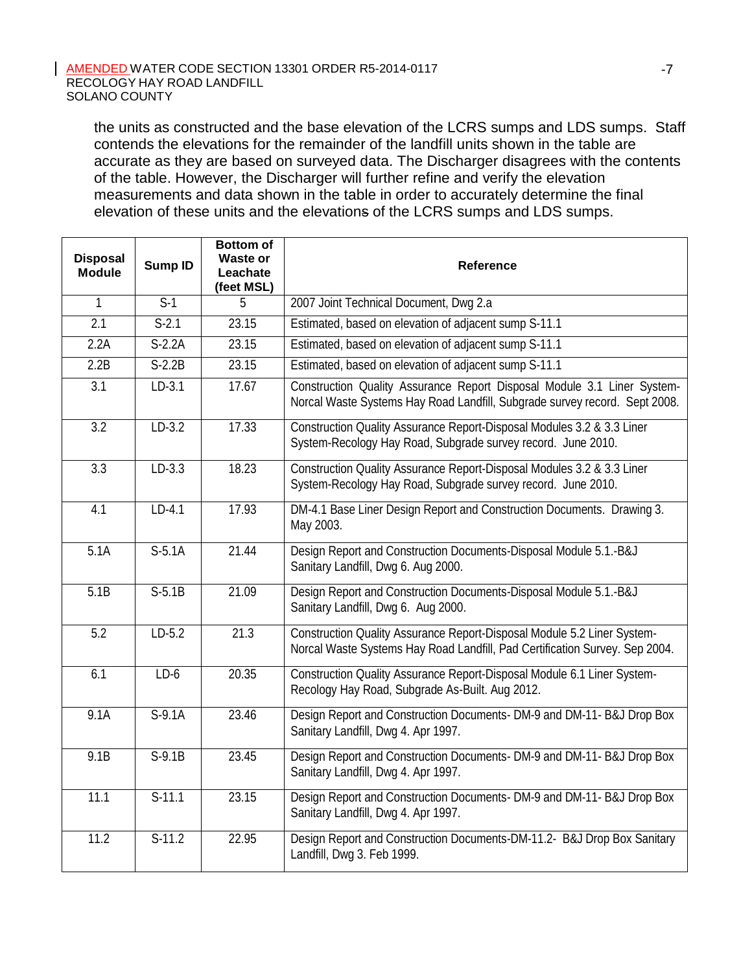the units as constructed and the base elevation of the LCRS sumps and LDS sumps. Staff contends the elevations for the remainder of the landfill units shown in the table are accurate as they are based on surveyed data. The Discharger disagrees with the contents of the table. However, the Discharger will further refine and verify the elevation measurements and data shown in the table in order to accurately determine the final elevation of these units and the elevations of the LCRS sumps and LDS sumps.

| <b>Disposal</b><br><b>Module</b> | <b>Sump ID</b>   | <b>Bottom of</b><br><b>Waste or</b><br>Leachate<br>(feet MSL) | <b>Reference</b>                                                                                                                                       |  |
|----------------------------------|------------------|---------------------------------------------------------------|--------------------------------------------------------------------------------------------------------------------------------------------------------|--|
| $\mathbf{1}$                     | $\overline{S-1}$ | 5                                                             | 2007 Joint Technical Document, Dwg 2.a                                                                                                                 |  |
| 2.1                              | $S-2.1$          | 23.15                                                         | Estimated, based on elevation of adjacent sump S-11.1                                                                                                  |  |
| 2.2A                             | $S-2.2A$         | 23.15                                                         | Estimated, based on elevation of adjacent sump S-11.1                                                                                                  |  |
| 2.2B                             | $S-2.2B$         | 23.15                                                         | Estimated, based on elevation of adjacent sump S-11.1                                                                                                  |  |
| 3.1                              | $LD-3.1$         | 17.67                                                         | Construction Quality Assurance Report Disposal Module 3.1 Liner System-<br>Norcal Waste Systems Hay Road Landfill, Subgrade survey record. Sept 2008.  |  |
| $\overline{3.2}$                 | $LD-3.2$         | 17.33                                                         | Construction Quality Assurance Report-Disposal Modules 3.2 & 3.3 Liner<br>System-Recology Hay Road, Subgrade survey record. June 2010.                 |  |
| $\overline{3.3}$                 | $LD-3.3$         | 18.23                                                         | Construction Quality Assurance Report-Disposal Modules 3.2 & 3.3 Liner<br>System-Recology Hay Road, Subgrade survey record. June 2010.                 |  |
| 4.1                              | $LD-4.1$         | 17.93                                                         | DM-4.1 Base Liner Design Report and Construction Documents. Drawing 3.<br>May 2003.                                                                    |  |
| 5.1A                             | $S-5.1A$         | 21.44                                                         | Design Report and Construction Documents-Disposal Module 5.1.-B&J<br>Sanitary Landfill, Dwg 6. Aug 2000.                                               |  |
| 5.1B                             | $S-5.1B$         | 21.09                                                         | Design Report and Construction Documents-Disposal Module 5.1.-B&J<br>Sanitary Landfill, Dwg 6. Aug 2000.                                               |  |
| 5.2                              | $LD-5.2$         | 21.3                                                          | Construction Quality Assurance Report-Disposal Module 5.2 Liner System-<br>Norcal Waste Systems Hay Road Landfill, Pad Certification Survey. Sep 2004. |  |
| 6.1                              | $LD-6$           | 20.35                                                         | Construction Quality Assurance Report-Disposal Module 6.1 Liner System-<br>Recology Hay Road, Subgrade As-Built. Aug 2012.                             |  |
| 9.1A                             | $S-9.1A$         | 23.46                                                         | Design Report and Construction Documents- DM-9 and DM-11- B&J Drop Box<br>Sanitary Landfill, Dwg 4. Apr 1997.                                          |  |
| 9.1B                             | $S-9.1B$         | 23.45                                                         | Design Report and Construction Documents- DM-9 and DM-11- B&J Drop Box<br>Sanitary Landfill, Dwg 4. Apr 1997.                                          |  |
| 11.1                             | $S-11.1$         | 23.15                                                         | Design Report and Construction Documents- DM-9 and DM-11- B&J Drop Box<br>Sanitary Landfill, Dwg 4. Apr 1997.                                          |  |
| 11.2                             | $S-11.2$         | 22.95                                                         | Design Report and Construction Documents-DM-11.2- B&J Drop Box Sanitary<br>Landfill, Dwg 3. Feb 1999.                                                  |  |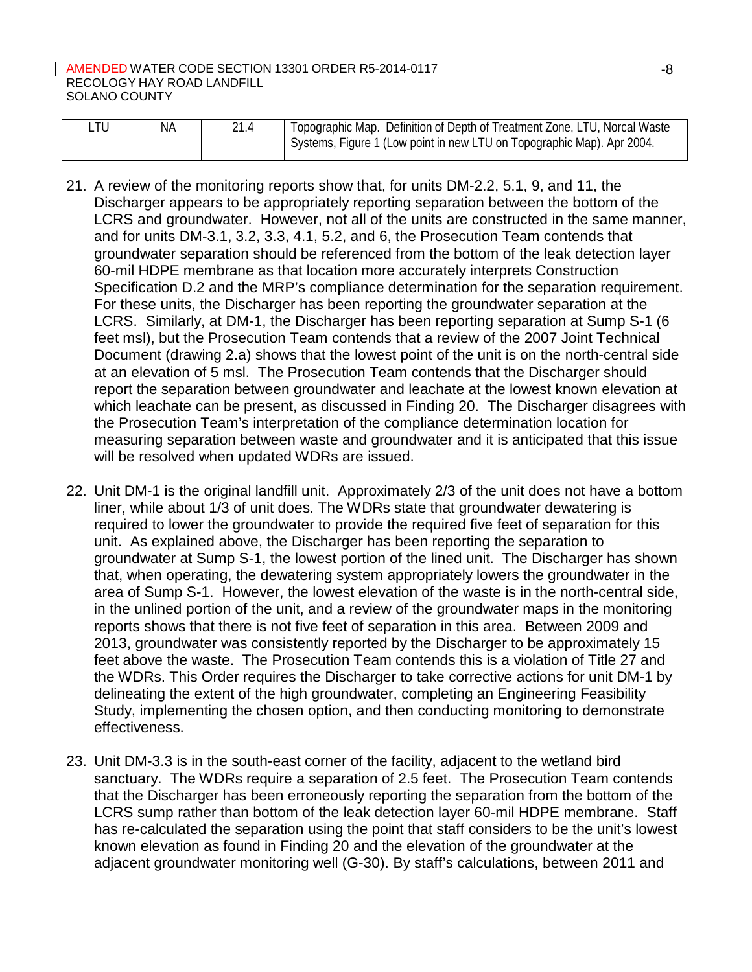| ∟TU | ΝA | 21.4 | Topographic Map. Definition of Depth of Treatment Zone, LTU, Norcal Waste<br>Systems, Figure 1 (Low point in new LTU on Topographic Map). Apr 2004. |
|-----|----|------|-----------------------------------------------------------------------------------------------------------------------------------------------------|
|     |    |      |                                                                                                                                                     |

- 21. A review of the monitoring reports show that, for units DM-2.2, 5.1, 9, and 11, the Discharger appears to be appropriately reporting separation between the bottom of the LCRS and groundwater. However, not all of the units are constructed in the same manner, and for units DM-3.1, 3.2, 3.3, 4.1, 5.2, and 6, the Prosecution Team contends that groundwater separation should be referenced from the bottom of the leak detection layer 60-mil HDPE membrane as that location more accurately interprets Construction Specification D.2 and the MRP's compliance determination for the separation requirement. For these units, the Discharger has been reporting the groundwater separation at the LCRS. Similarly, at DM-1, the Discharger has been reporting separation at Sump S-1 (6 feet msl), but the Prosecution Team contends that a review of the 2007 Joint Technical Document (drawing 2.a) shows that the lowest point of the unit is on the north-central side at an elevation of 5 msl. The Prosecution Team contends that the Discharger should report the separation between groundwater and leachate at the lowest known elevation at which leachate can be present, as discussed in Finding 20. The Discharger disagrees with the Prosecution Team's interpretation of the compliance determination location for measuring separation between waste and groundwater and it is anticipated that this issue will be resolved when updated WDRs are issued.
- 22. Unit DM-1 is the original landfill unit. Approximately 2/3 of the unit does not have a bottom liner, while about 1/3 of unit does. The WDRs state that groundwater dewatering is required to lower the groundwater to provide the required five feet of separation for this unit. As explained above, the Discharger has been reporting the separation to groundwater at Sump S-1, the lowest portion of the lined unit. The Discharger has shown that, when operating, the dewatering system appropriately lowers the groundwater in the area of Sump S-1. However, the lowest elevation of the waste is in the north-central side, in the unlined portion of the unit, and a review of the groundwater maps in the monitoring reports shows that there is not five feet of separation in this area. Between 2009 and 2013, groundwater was consistently reported by the Discharger to be approximately 15 feet above the waste. The Prosecution Team contends this is a violation of Title 27 and the WDRs. This Order requires the Discharger to take corrective actions for unit DM-1 by delineating the extent of the high groundwater, completing an Engineering Feasibility Study, implementing the chosen option, and then conducting monitoring to demonstrate effectiveness.
- 23. Unit DM-3.3 is in the south-east corner of the facility, adjacent to the wetland bird sanctuary. The WDRs require a separation of 2.5 feet. The Prosecution Team contends that the Discharger has been erroneously reporting the separation from the bottom of the LCRS sump rather than bottom of the leak detection layer 60-mil HDPE membrane. Staff has re-calculated the separation using the point that staff considers to be the unit's lowest known elevation as found in Finding 20 and the elevation of the groundwater at the adjacent groundwater monitoring well (G-30). By staff's calculations, between 2011 and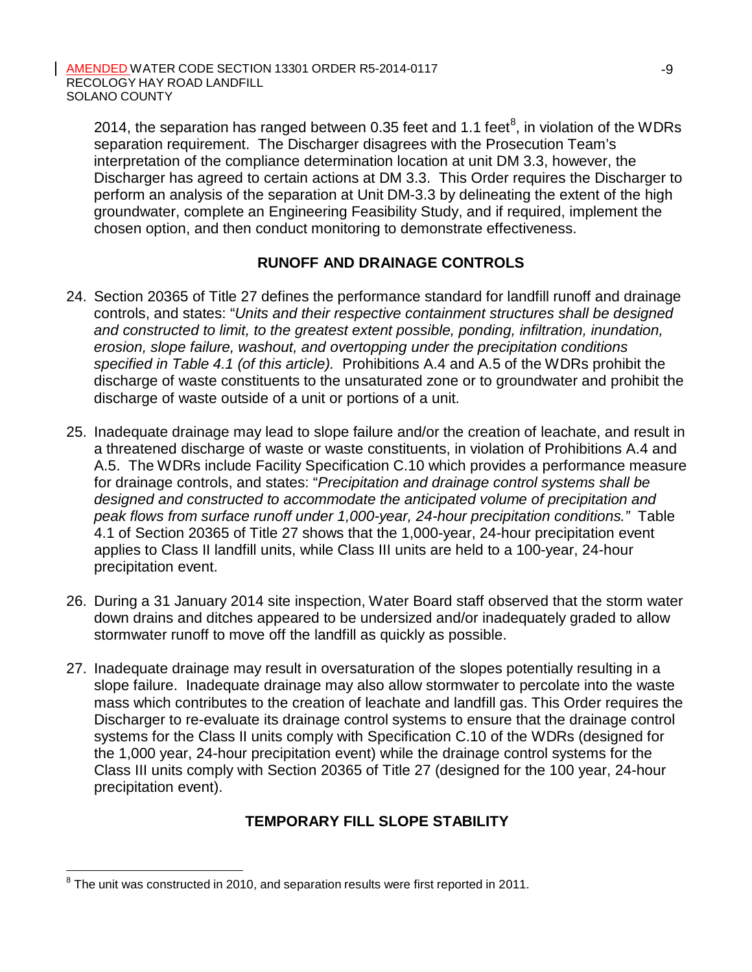2014, the separation has ranged between 0.35 feet and 1.1 feet $^8$ , in violation of the WDRs separation requirement. The Discharger disagrees with the Prosecution Team's interpretation of the compliance determination location at unit DM 3.3, however, the Discharger has agreed to certain actions at DM 3.3. This Order requires the Discharger to perform an analysis of the separation at Unit DM-3.3 by delineating the extent of the high groundwater, complete an Engineering Feasibility Study, and if required, implement the chosen option, and then conduct monitoring to demonstrate effectiveness.

## **RUNOFF AND DRAINAGE CONTROLS**

- 24. Section 20365 of Title 27 defines the performance standard for landfill runoff and drainage controls, and states: "*Units and their respective containment structures shall be designed and constructed to limit, to the greatest extent possible, ponding, infiltration, inundation, erosion, slope failure, washout, and overtopping under the precipitation conditions specified in Table 4.1 (of this article).* Prohibitions A.4 and A.5 of the WDRs prohibit the discharge of waste constituents to the unsaturated zone or to groundwater and prohibit the discharge of waste outside of a unit or portions of a unit.
- 25. Inadequate drainage may lead to slope failure and/or the creation of leachate, and result in a threatened discharge of waste or waste constituents, in violation of Prohibitions A.4 and A.5. The WDRs include Facility Specification C.10 which provides a performance measure for drainage controls, and states: "*Precipitation and drainage control systems shall be designed and constructed to accommodate the anticipated volume of precipitation and peak flows from surface runoff under 1,000-year, 24-hour precipitation conditions."* Table 4.1 of Section 20365 of Title 27 shows that the 1,000-year, 24-hour precipitation event applies to Class II landfill units, while Class III units are held to a 100-year, 24-hour precipitation event.
- 26. During a 31 January 2014 site inspection, Water Board staff observed that the storm water down drains and ditches appeared to be undersized and/or inadequately graded to allow stormwater runoff to move off the landfill as quickly as possible.
- 27. Inadequate drainage may result in oversaturation of the slopes potentially resulting in a slope failure. Inadequate drainage may also allow stormwater to percolate into the waste mass which contributes to the creation of leachate and landfill gas. This Order requires the Discharger to re-evaluate its drainage control systems to ensure that the drainage control systems for the Class II units comply with Specification C.10 of the WDRs (designed for the 1,000 year, 24-hour precipitation event) while the drainage control systems for the Class III units comply with Section 20365 of Title 27 (designed for the 100 year, 24-hour precipitation event).

# **TEMPORARY FILL SLOPE STABILITY**

 $8$  The unit was constructed in 2010, and separation results were first reported in 2011.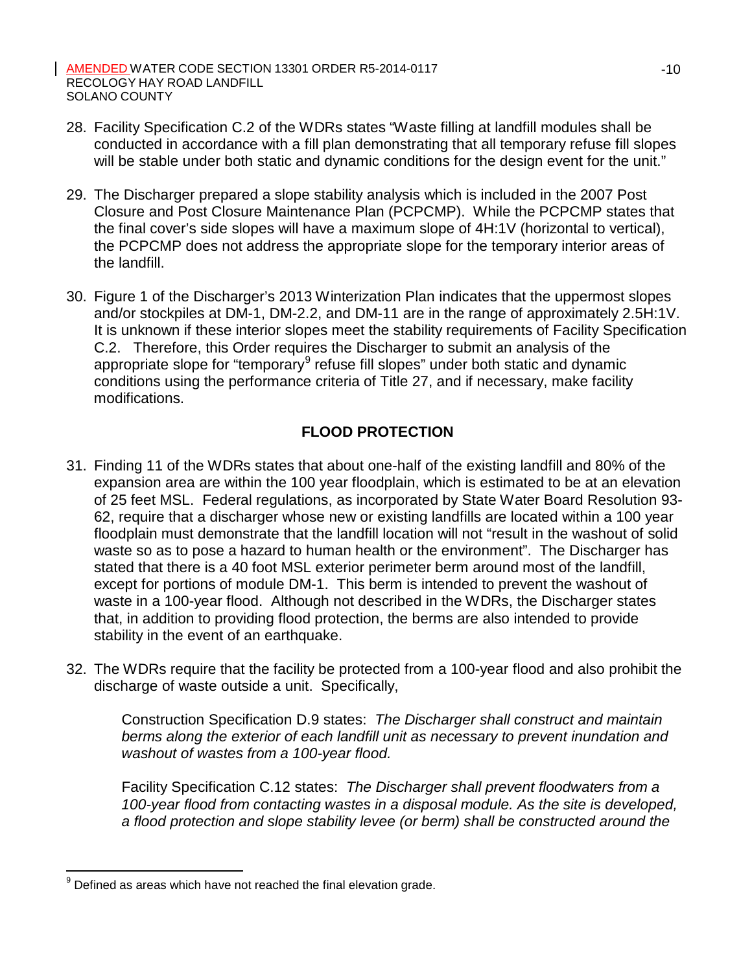- 28. Facility Specification C.2 of the WDRs states "Waste filling at landfill modules shall be conducted in accordance with a fill plan demonstrating that all temporary refuse fill slopes will be stable under both static and dynamic conditions for the design event for the unit."
- 29. The Discharger prepared a slope stability analysis which is included in the 2007 Post Closure and Post Closure Maintenance Plan (PCPCMP). While the PCPCMP states that the final cover's side slopes will have a maximum slope of 4H:1V (horizontal to vertical), the PCPCMP does not address the appropriate slope for the temporary interior areas of the landfill.
- 30. Figure 1 of the Discharger's 2013 Winterization Plan indicates that the uppermost slopes and/or stockpiles at DM-1, DM-2.2, and DM-11 are in the range of approximately 2.5H:1V. It is unknown if these interior slopes meet the stability requirements of Facility Specification C.2. Therefore, this Order requires the Discharger to submit an analysis of the appropriate slope for "temporary $9$  refuse fill slopes" under both static and dynamic conditions using the performance criteria of Title 27, and if necessary, make facility modifications.

# **FLOOD PROTECTION**

- 31. Finding 11 of the WDRs states that about one-half of the existing landfill and 80% of the expansion area are within the 100 year floodplain, which is estimated to be at an elevation of 25 feet MSL. Federal regulations, as incorporated by State Water Board Resolution 93- 62, require that a discharger whose new or existing landfills are located within a 100 year floodplain must demonstrate that the landfill location will not "result in the washout of solid waste so as to pose a hazard to human health or the environment". The Discharger has stated that there is a 40 foot MSL exterior perimeter berm around most of the landfill, except for portions of module DM-1. This berm is intended to prevent the washout of waste in a 100-year flood. Although not described in the WDRs, the Discharger states that, in addition to providing flood protection, the berms are also intended to provide stability in the event of an earthquake.
- 32. The WDRs require that the facility be protected from a 100-year flood and also prohibit the discharge of waste outside a unit. Specifically,

Construction Specification D.9 states: *The Discharger shall construct and maintain berms along the exterior of each landfill unit as necessary to prevent inundation and washout of wastes from a 100-year flood.*

Facility Specification C.12 states: *The Discharger shall prevent floodwaters from a 100-year flood from contacting wastes in a disposal module. As the site is developed, a flood protection and slope stability levee (or berm) shall be constructed around the*

 $9$  Defined as areas which have not reached the final elevation grade.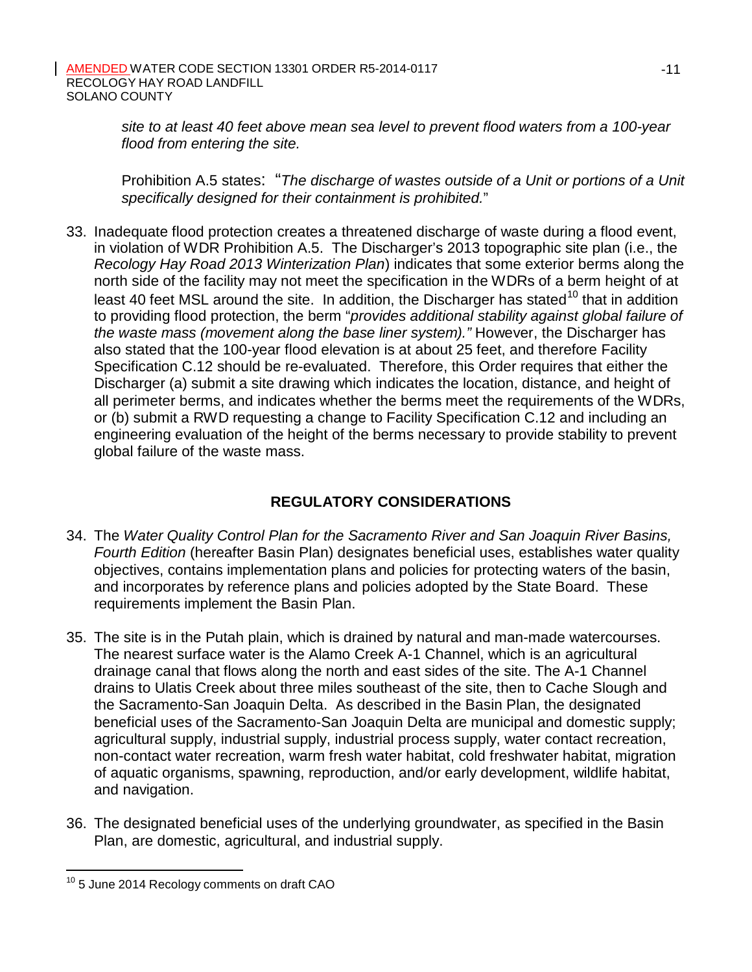*site to at least 40 feet above mean sea level to prevent flood waters from a 100-year flood from entering the site.*

Prohibition A.5 states: "*The discharge of wastes outside of a Unit or portions of a Unit specifically designed for their containment is prohibited.*"

33. Inadequate flood protection creates a threatened discharge of waste during a flood event, in violation of WDR Prohibition A.5. The Discharger's 2013 topographic site plan (i.e., the *Recology Hay Road 2013 Winterization Plan*) indicates that some exterior berms along the north side of the facility may not meet the specification in the WDRs of a berm height of at least 40 feet MSL around the site. In addition, the Discharger has stated<sup>10</sup> that in addition to providing flood protection, the berm "*provides additional stability against global failure of the waste mass (movement along the base liner system)."* However, the Discharger has also stated that the 100-year flood elevation is at about 25 feet, and therefore Facility Specification C.12 should be re-evaluated. Therefore, this Order requires that either the Discharger (a) submit a site drawing which indicates the location, distance, and height of all perimeter berms, and indicates whether the berms meet the requirements of the WDRs, or (b) submit a RWD requesting a change to Facility Specification C.12 and including an engineering evaluation of the height of the berms necessary to provide stability to prevent global failure of the waste mass.

# **REGULATORY CONSIDERATIONS**

- 34. The *Water Quality Control Plan for the Sacramento River and San Joaquin River Basins, Fourth Edition* (hereafter Basin Plan) designates beneficial uses, establishes water quality objectives, contains implementation plans and policies for protecting waters of the basin, and incorporates by reference plans and policies adopted by the State Board. These requirements implement the Basin Plan.
- 35. The site is in the Putah plain, which is drained by natural and man-made watercourses. The nearest surface water is the Alamo Creek A-1 Channel, which is an agricultural drainage canal that flows along the north and east sides of the site. The A-1 Channel drains to Ulatis Creek about three miles southeast of the site, then to Cache Slough and the Sacramento-San Joaquin Delta. As described in the Basin Plan, the designated beneficial uses of the Sacramento-San Joaquin Delta are municipal and domestic supply; agricultural supply, industrial supply, industrial process supply, water contact recreation, non-contact water recreation, warm fresh water habitat, cold freshwater habitat, migration of aquatic organisms, spawning, reproduction, and/or early development, wildlife habitat, and navigation.
- 36. The designated beneficial uses of the underlying groundwater, as specified in the Basin Plan, are domestic, agricultural, and industrial supply.

<sup>&</sup>lt;sup>10</sup> 5 June 2014 Recology comments on draft CAO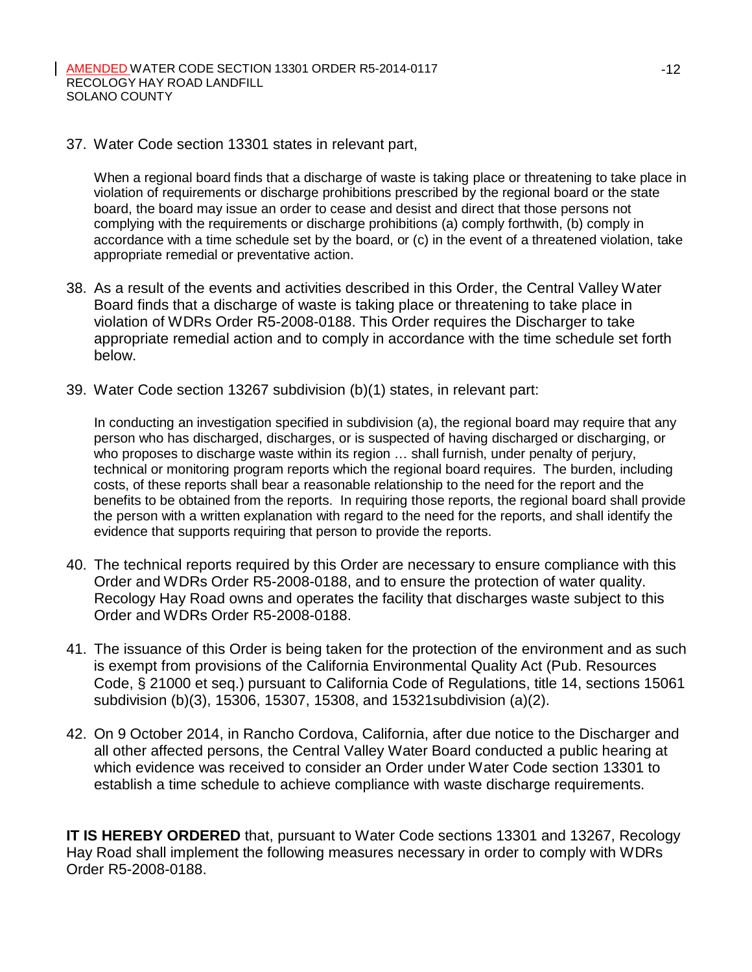37. Water Code section 13301 states in relevant part,

When a regional board finds that a discharge of waste is taking place or threatening to take place in violation of requirements or discharge prohibitions prescribed by the regional board or the state board, the board may issue an order to cease and desist and direct that those persons not complying with the requirements or discharge prohibitions (a) comply forthwith, (b) comply in accordance with a time schedule set by the board, or (c) in the event of a threatened violation, take appropriate remedial or preventative action.

- 38. As a result of the events and activities described in this Order, the Central Valley Water Board finds that a discharge of waste is taking place or threatening to take place in violation of WDRs Order R5-2008-0188. This Order requires the Discharger to take appropriate remedial action and to comply in accordance with the time schedule set forth below.
- 39. Water Code section 13267 subdivision (b)(1) states, in relevant part:

In conducting an investigation specified in subdivision (a), the regional board may require that any person who has discharged, discharges, or is suspected of having discharged or discharging, or who proposes to discharge waste within its region ... shall furnish, under penalty of perjury, technical or monitoring program reports which the regional board requires. The burden, including costs, of these reports shall bear a reasonable relationship to the need for the report and the benefits to be obtained from the reports. In requiring those reports, the regional board shall provide the person with a written explanation with regard to the need for the reports, and shall identify the evidence that supports requiring that person to provide the reports.

- 40. The technical reports required by this Order are necessary to ensure compliance with this Order and WDRs Order R5-2008-0188, and to ensure the protection of water quality. Recology Hay Road owns and operates the facility that discharges waste subject to this Order and WDRs Order R5-2008-0188.
- 41. The issuance of this Order is being taken for the protection of the environment and as such is exempt from provisions of the California Environmental Quality Act (Pub. Resources Code, § 21000 et seq.) pursuant to California Code of Regulations, title 14, sections 15061 subdivision (b)(3), 15306, 15307, 15308, and 15321subdivision (a)(2).
- 42. On 9 October 2014, in Rancho Cordova, California, after due notice to the Discharger and all other affected persons, the Central Valley Water Board conducted a public hearing at which evidence was received to consider an Order under Water Code section 13301 to establish a time schedule to achieve compliance with waste discharge requirements.

**IT IS HEREBY ORDERED** that, pursuant to Water Code sections 13301 and 13267, Recology Hay Road shall implement the following measures necessary in order to comply with WDRs Order R5-2008-0188.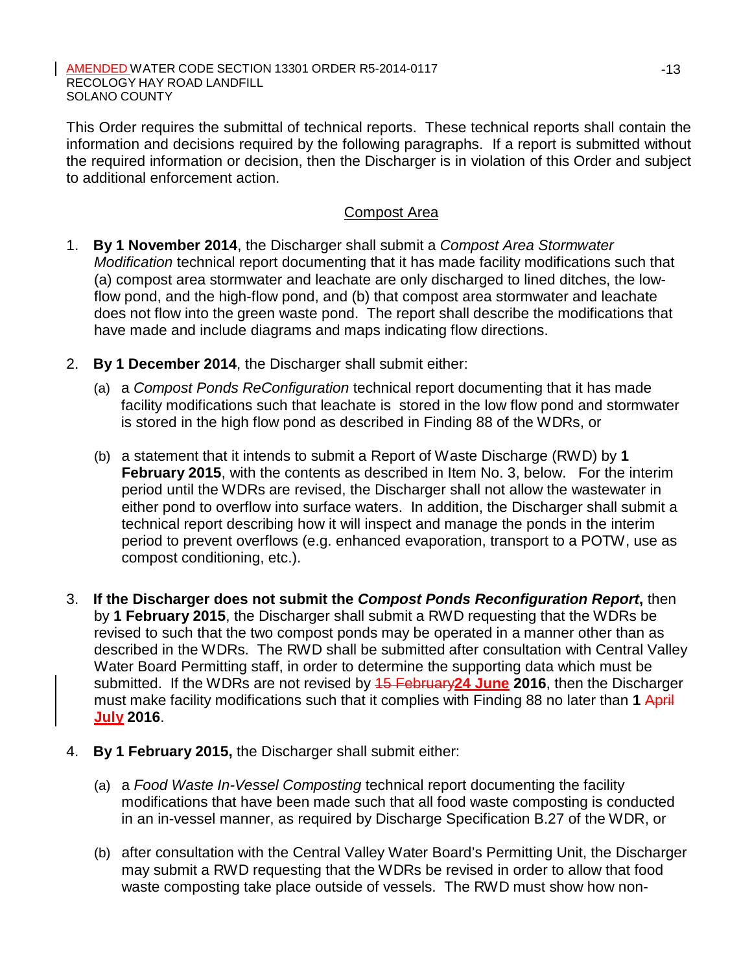This Order requires the submittal of technical reports. These technical reports shall contain the information and decisions required by the following paragraphs. If a report is submitted without the required information or decision, then the Discharger is in violation of this Order and subject to additional enforcement action.

## Compost Area

- 1. **By 1 November 2014**, the Discharger shall submit a *Compost Area Stormwater Modification* technical report documenting that it has made facility modifications such that (a) compost area stormwater and leachate are only discharged to lined ditches, the lowflow pond, and the high-flow pond, and (b) that compost area stormwater and leachate does not flow into the green waste pond. The report shall describe the modifications that have made and include diagrams and maps indicating flow directions.
- 2. **By 1 December 2014**, the Discharger shall submit either:
	- (a) a *Compost Ponds ReConfiguration* technical report documenting that it has made facility modifications such that leachate is stored in the low flow pond and stormwater is stored in the high flow pond as described in Finding 88 of the WDRs, or
	- (b) a statement that it intends to submit a Report of Waste Discharge (RWD) by **1 February 2015**, with the contents as described in Item No. 3, below. For the interim period until the WDRs are revised, the Discharger shall not allow the wastewater in either pond to overflow into surface waters. In addition, the Discharger shall submit a technical report describing how it will inspect and manage the ponds in the interim period to prevent overflows (e.g. enhanced evaporation, transport to a POTW, use as compost conditioning, etc.).
- 3. **If the Discharger does not submit the** *Compost Ponds Reconfiguration Report***,** then by **1 February 2015**, the Discharger shall submit a RWD requesting that the WDRs be revised to such that the two compost ponds may be operated in a manner other than as described in the WDRs. The RWD shall be submitted after consultation with Central Valley Water Board Permitting staff, in order to determine the supporting data which must be submitted. If the WDRs are not revised by 15 February**24 June 2016**, then the Discharger must make facility modifications such that it complies with Finding 88 no later than **1** April **July 2016**.
- 4. **By 1 February 2015,** the Discharger shall submit either:
	- (a) a *Food Waste In-Vessel Composting* technical report documenting the facility modifications that have been made such that all food waste composting is conducted in an in-vessel manner, as required by Discharge Specification B.27 of the WDR, or
	- (b) after consultation with the Central Valley Water Board's Permitting Unit, the Discharger may submit a RWD requesting that the WDRs be revised in order to allow that food waste composting take place outside of vessels. The RWD must show how non-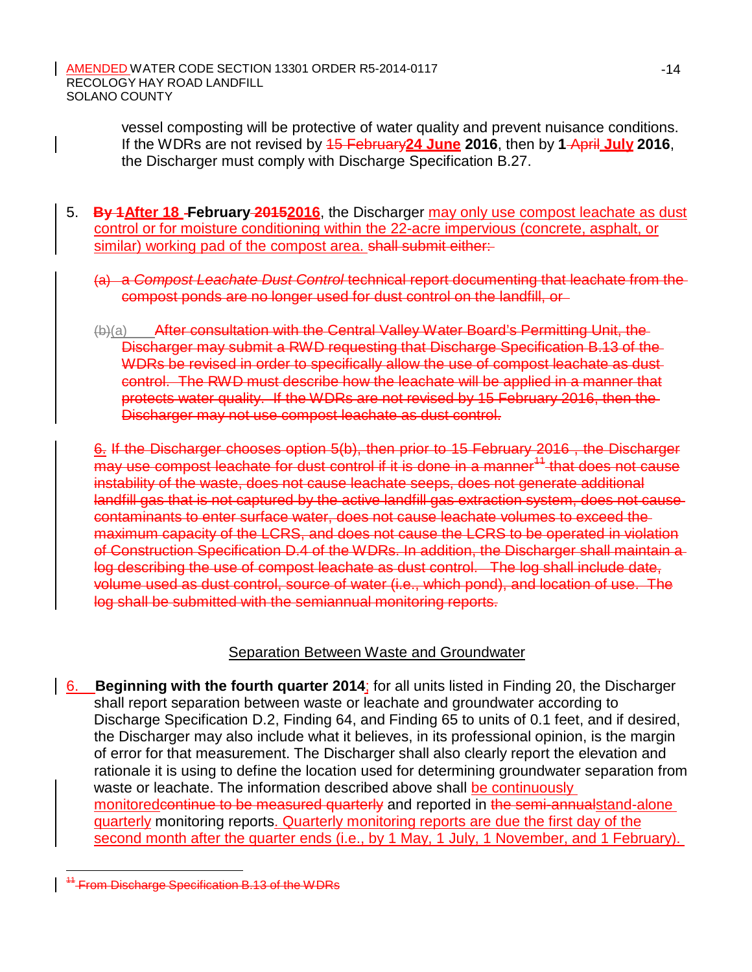> vessel composting will be protective of water quality and prevent nuisance conditions. If the WDRs are not revised by 15 February**24 June 2016**, then by **1** April **July 2016**, the Discharger must comply with Discharge Specification B.27.

- 5. **By 1After 18 February 20152016**, the Discharger may only use compost leachate as dust control or for moisture conditioning within the 22-acre impervious (concrete, asphalt, or similar) working pad of the compost area. shall submit either:
	- (a) a *Compost Leachate Dust Control* technical report documenting that leachate from the compost ponds are no longer used for dust control on the landfill, or
	- (b)(a) After consultation with the Central Valley Water Board's Permitting Unit, the Discharger may submit a RWD requesting that Discharge Specification B.13 of the WDRs be revised in order to specifically allow the use of compost leachate as dustcontrol. The RWD must describe how the leachate will be applied in a manner that protects water quality. If the WDRs are not revised by 15 February 2016, then the Discharger may not use compost leachate as dust control.

6. If the Discharger chooses option 5(b), then prior to 15 February 2016 , the Discharger may use compost leachate for dust control if it is done in a manner<sup>11</sup> that does not cause instability of the waste, does not cause leachate seeps, does not generate additional landfill gas that is not captured by the active landfill gas extraction system, does not cause contaminants to enter surface water, does not cause leachate volumes to exceed the maximum capacity of the LCRS, and does not cause the LCRS to be operated in violation of Construction Specification D.4 of the WDRs. In addition, the Discharger shall maintain a log describing the use of compost leachate as dust control. The log shall include date, volume used as dust control, source of water (i.e., which pond), and location of use. The log shall be submitted with the semiannual monitoring reports.

# Separation Between Waste and Groundwater

6. **Beginning with the fourth quarter 2014**; for all units listed in Finding 20, the Discharger shall report separation between waste or leachate and groundwater according to Discharge Specification D.2, Finding 64, and Finding 65 to units of 0.1 feet, and if desired, the Discharger may also include what it believes, in its professional opinion, is the margin of error for that measurement. The Discharger shall also clearly report the elevation and rationale it is using to define the location used for determining groundwater separation from waste or leachate. The information described above shall be continuously monitoredcontinue to be measured quarterly and reported in the semi-annualstand-alone quarterly monitoring reports. Quarterly monitoring reports are due the first day of the second month after the quarter ends (i.e., by 1 May, 1 July, 1 November, and 1 February).

 $4$ -From Discharge Specification B.13 of the WDRs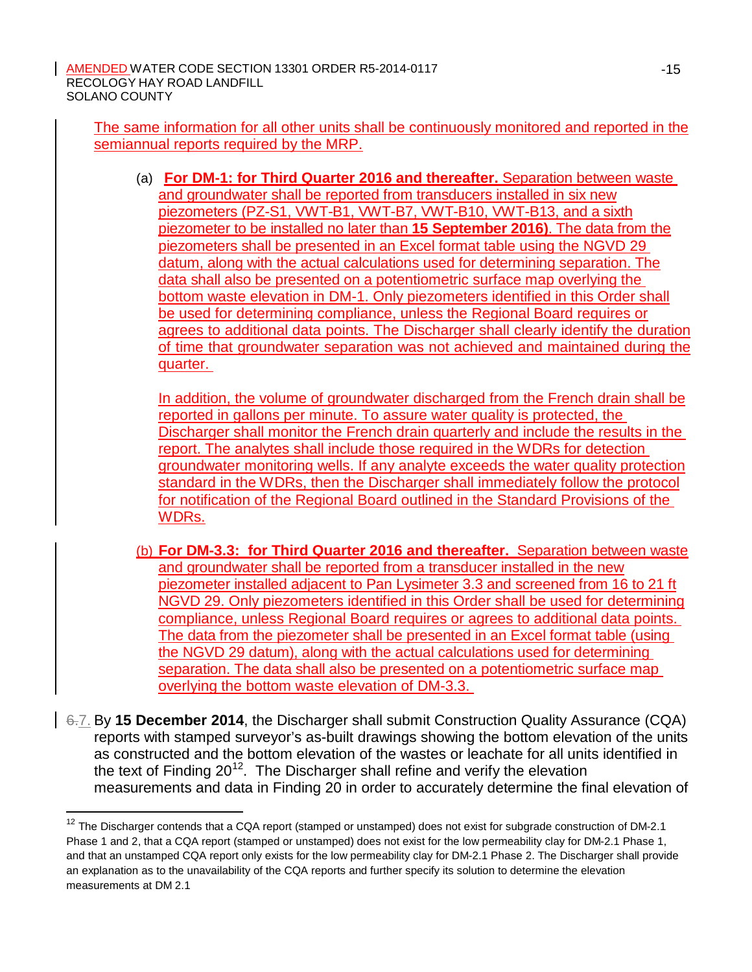The same information for all other units shall be continuously monitored and reported in the semiannual reports required by the MRP.

(a) **For DM-1: for Third Quarter 2016 and thereafter.** Separation between waste and groundwater shall be reported from transducers installed in six new piezometers (PZ-S1, VWT-B1, VWT-B7, VWT-B10, VWT-B13, and a sixth piezometer to be installed no later than **15 September 2016)**. The data from the piezometers shall be presented in an Excel format table using the NGVD 29 datum, along with the actual calculations used for determining separation. The data shall also be presented on a potentiometric surface map overlying the bottom waste elevation in DM-1. Only piezometers identified in this Order shall be used for determining compliance, unless the Regional Board requires or agrees to additional data points. The Discharger shall clearly identify the duration of time that groundwater separation was not achieved and maintained during the quarter.

In addition, the volume of groundwater discharged from the French drain shall be reported in gallons per minute. To assure water quality is protected, the Discharger shall monitor the French drain quarterly and include the results in the report. The analytes shall include those required in the WDRs for detection groundwater monitoring wells. If any analyte exceeds the water quality protection standard in the WDRs, then the Discharger shall immediately follow the protocol for notification of the Regional Board outlined in the Standard Provisions of the WDRs.

- (b) **For DM-3.3: for Third Quarter 2016 and thereafter.** Separation between waste and groundwater shall be reported from a transducer installed in the new piezometer installed adjacent to Pan Lysimeter 3.3 and screened from 16 to 21 ft NGVD 29. Only piezometers identified in this Order shall be used for determining compliance, unless Regional Board requires or agrees to additional data points. The data from the piezometer shall be presented in an Excel format table (using the NGVD 29 datum), along with the actual calculations used for determining separation. The data shall also be presented on a potentiometric surface map overlying the bottom waste elevation of DM-3.3.
- 6.7. By **15 December 2014**, the Discharger shall submit Construction Quality Assurance (CQA) reports with stamped surveyor's as-built drawings showing the bottom elevation of the units as constructed and the bottom elevation of the wastes or leachate for all units identified in the text of Finding  $20^{12}$ . The Discharger shall refine and verify the elevation measurements and data in Finding 20 in order to accurately determine the final elevation of

 $12$  The Discharger contends that a CQA report (stamped or unstamped) does not exist for subgrade construction of DM-2.1 Phase 1 and 2, that a CQA report (stamped or unstamped) does not exist for the low permeability clay for DM-2.1 Phase 1, and that an unstamped CQA report only exists for the low permeability clay for DM-2.1 Phase 2. The Discharger shall provide an explanation as to the unavailability of the CQA reports and further specify its solution to determine the elevation measurements at DM 2.1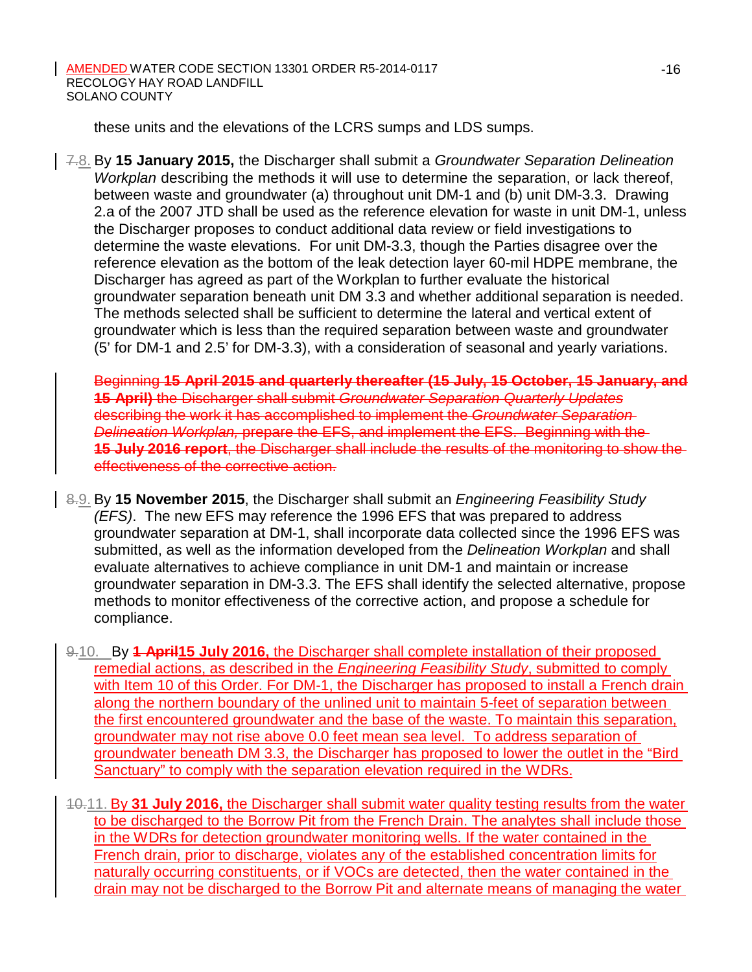these units and the elevations of the LCRS sumps and LDS sumps.

7.8. By **15 January 2015,** the Discharger shall submit a *Groundwater Separation Delineation Workplan* describing the methods it will use to determine the separation, or lack thereof, between waste and groundwater (a) throughout unit DM-1 and (b) unit DM-3.3. Drawing 2.a of the 2007 JTD shall be used as the reference elevation for waste in unit DM-1, unless the Discharger proposes to conduct additional data review or field investigations to determine the waste elevations. For unit DM-3.3, though the Parties disagree over the reference elevation as the bottom of the leak detection layer 60-mil HDPE membrane, the Discharger has agreed as part of the Workplan to further evaluate the historical groundwater separation beneath unit DM 3.3 and whether additional separation is needed. The methods selected shall be sufficient to determine the lateral and vertical extent of groundwater which is less than the required separation between waste and groundwater (5' for DM-1 and 2.5' for DM-3.3), with a consideration of seasonal and yearly variations.

Beginning **15 April 2015 and quarterly thereafter (15 July, 15 October, 15 January, and 15 April)** the Discharger shall submit *Groundwater Separation Quarterly Updates* describing the work it has accomplished to implement the *Groundwater Separation Delineation Workplan,* prepare the EFS, and implement the EFS. Beginning with the **15 July 2016 report**, the Discharger shall include the results of the monitoring to show the effectiveness of the corrective action.

- 8.9. By **15 November 2015**, the Discharger shall submit an *Engineering Feasibility Study (EFS)*. The new EFS may reference the 1996 EFS that was prepared to address groundwater separation at DM-1, shall incorporate data collected since the 1996 EFS was submitted, as well as the information developed from the *Delineation Workplan* and shall evaluate alternatives to achieve compliance in unit DM-1 and maintain or increase groundwater separation in DM-3.3. The EFS shall identify the selected alternative, propose methods to monitor effectiveness of the corrective action, and propose a schedule for compliance.
- 9.10. By **1 April15 July 2016,** the Discharger shall complete installation of their proposed remedial actions, as described in the *Engineering Feasibility Study*, submitted to comply with Item 10 of this Order. For DM-1, the Discharger has proposed to install a French drain along the northern boundary of the unlined unit to maintain 5-feet of separation between the first encountered groundwater and the base of the waste. To maintain this separation, groundwater may not rise above 0.0 feet mean sea level. To address separation of groundwater beneath DM 3.3, the Discharger has proposed to lower the outlet in the "Bird Sanctuary" to comply with the separation elevation required in the WDRs.
- 10.11. By **31 July 2016,** the Discharger shall submit water quality testing results from the water to be discharged to the Borrow Pit from the French Drain. The analytes shall include those in the WDRs for detection groundwater monitoring wells. If the water contained in the French drain, prior to discharge, violates any of the established concentration limits for naturally occurring constituents, or if VOCs are detected, then the water contained in the drain may not be discharged to the Borrow Pit and alternate means of managing the water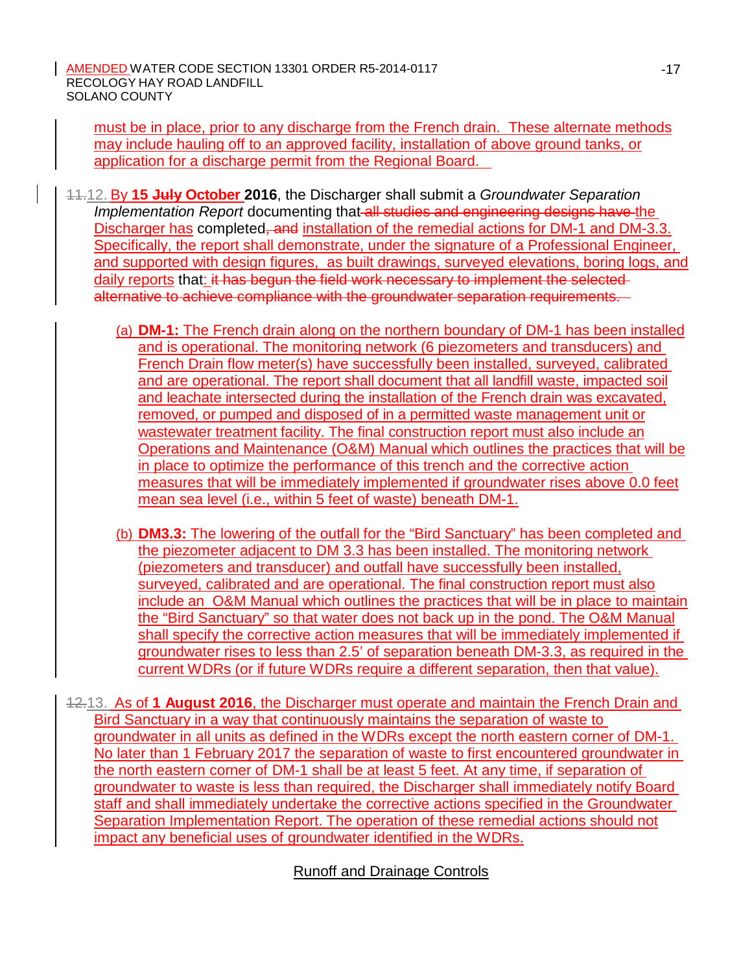must be in place, prior to any discharge from the French drain. These alternate methods may include hauling off to an approved facility, installation of above ground tanks, or application for a discharge permit from the Regional Board.

- 11.12. By **15 July October 2016**, the Discharger shall submit a *Groundwater Separation*  **Implementation Report documenting that all studies and engineering designs have the** Discharger has completed, and installation of the remedial actions for DM-1 and DM-3.3. Specifically, the report shall demonstrate, under the signature of a Professional Engineer, and supported with design figures, as built drawings, surveyed elevations, boring logs, and daily reports that: it has begun the field work necessary to implement the selectedalternative to achieve compliance with the groundwater separation requirements.
	- (a) **DM-1:** The French drain along on the northern boundary of DM-1 has been installed and is operational. The monitoring network (6 piezometers and transducers) and French Drain flow meter(s) have successfully been installed, surveyed, calibrated and are operational. The report shall document that all landfill waste, impacted soil and leachate intersected during the installation of the French drain was excavated, removed, or pumped and disposed of in a permitted waste management unit or wastewater treatment facility. The final construction report must also include an Operations and Maintenance (O&M) Manual which outlines the practices that will be in place to optimize the performance of this trench and the corrective action measures that will be immediately implemented if groundwater rises above 0.0 feet mean sea level (i.e., within 5 feet of waste) beneath DM-1.
	- (b) **DM3.3:** The lowering of the outfall for the "Bird Sanctuary" has been completed and the piezometer adjacent to DM 3.3 has been installed. The monitoring network (piezometers and transducer) and outfall have successfully been installed, surveyed, calibrated and are operational. The final construction report must also include an O&M Manual which outlines the practices that will be in place to maintain the "Bird Sanctuary" so that water does not back up in the pond. The O&M Manual shall specify the corrective action measures that will be immediately implemented if groundwater rises to less than 2.5' of separation beneath DM-3.3, as required in the current WDRs (or if future WDRs require a different separation, then that value).
- 12.13. As of **1 August 2016**, the Discharger must operate and maintain the French Drain and Bird Sanctuary in a way that continuously maintains the separation of waste to groundwater in all units as defined in the WDRs except the north eastern corner of DM-1. No later than 1 February 2017 the separation of waste to first encountered groundwater in the north eastern corner of DM-1 shall be at least 5 feet. At any time, if separation of groundwater to waste is less than required, the Discharger shall immediately notify Board staff and shall immediately undertake the corrective actions specified in the Groundwater Separation Implementation Report. The operation of these remedial actions should not impact any beneficial uses of groundwater identified in the WDRs.

Runoff and Drainage Controls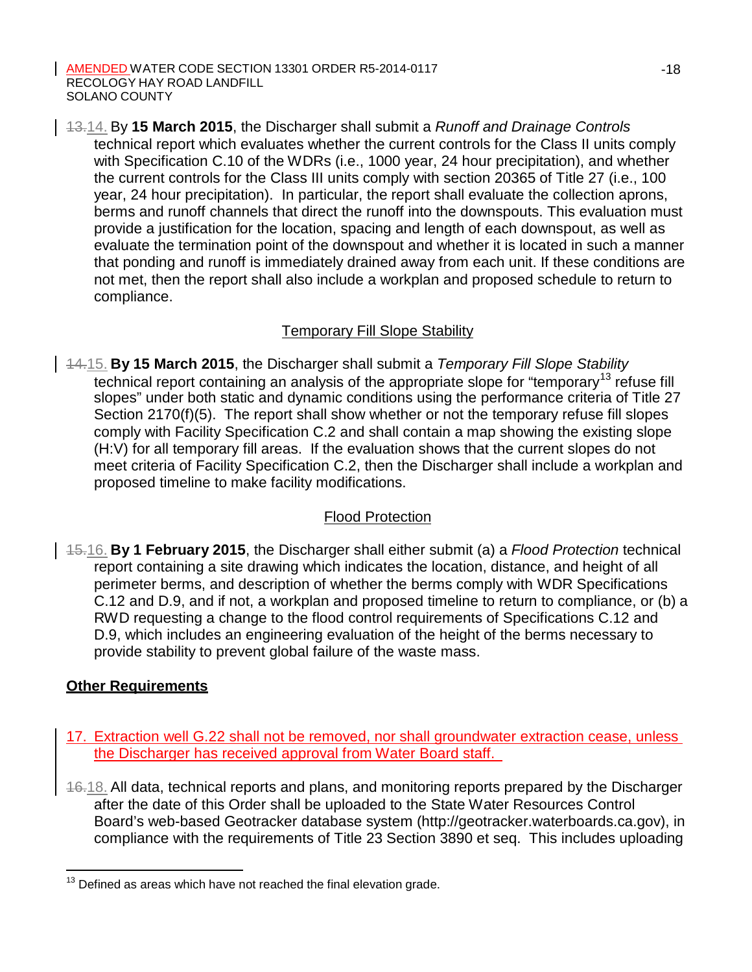13.14. By **15 March 2015**, the Discharger shall submit a *Runoff and Drainage Controls*  technical report which evaluates whether the current controls for the Class II units comply with Specification C.10 of the WDRs (i.e., 1000 year, 24 hour precipitation), and whether the current controls for the Class III units comply with section 20365 of Title 27 (i.e., 100 year, 24 hour precipitation). In particular, the report shall evaluate the collection aprons, berms and runoff channels that direct the runoff into the downspouts. This evaluation must provide a justification for the location, spacing and length of each downspout, as well as evaluate the termination point of the downspout and whether it is located in such a manner that ponding and runoff is immediately drained away from each unit. If these conditions are not met, then the report shall also include a workplan and proposed schedule to return to compliance.

## Temporary Fill Slope Stability

14.15. **By 15 March 2015**, the Discharger shall submit a *Temporary Fill Slope Stability*  technical report containing an analysis of the appropriate slope for "temporary<sup>13</sup> refuse fill slopes" under both static and dynamic conditions using the performance criteria of Title 27 Section 2170(f)(5). The report shall show whether or not the temporary refuse fill slopes comply with Facility Specification C.2 and shall contain a map showing the existing slope (H:V) for all temporary fill areas. If the evaluation shows that the current slopes do not meet criteria of Facility Specification C.2, then the Discharger shall include a workplan and proposed timeline to make facility modifications.

# Flood Protection

15.16. **By 1 February 2015**, the Discharger shall either submit (a) a *Flood Protection* technical report containing a site drawing which indicates the location, distance, and height of all perimeter berms, and description of whether the berms comply with WDR Specifications C.12 and D.9, and if not, a workplan and proposed timeline to return to compliance, or (b) a RWD requesting a change to the flood control requirements of Specifications C.12 and D.9, which includes an engineering evaluation of the height of the berms necessary to provide stability to prevent global failure of the waste mass.

# **Other Requirements**

- 17. Extraction well G.22 shall not be removed, nor shall groundwater extraction cease, unless the Discharger has received approval from Water Board staff.
- 16.18. All data, technical reports and plans, and monitoring reports prepared by the Discharger after the date of this Order shall be uploaded to the State Water Resources Control Board's web-based Geotracker database system (http://geotracker.waterboards.ca.gov), in compliance with the requirements of Title 23 Section 3890 et seq. This includes uploading

 $13$  Defined as areas which have not reached the final elevation grade.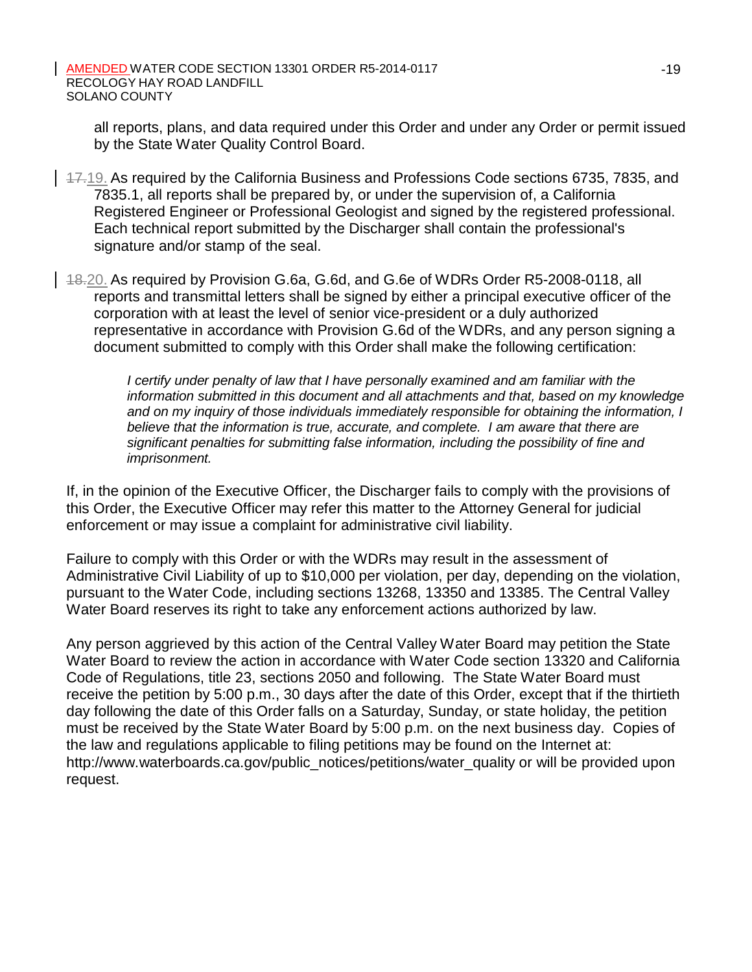all reports, plans, and data required under this Order and under any Order or permit issued by the State Water Quality Control Board.

- 17.19. As required by the California Business and Professions Code sections 6735, 7835, and 7835.1, all reports shall be prepared by, or under the supervision of, a California Registered Engineer or Professional Geologist and signed by the registered professional. Each technical report submitted by the Discharger shall contain the professional's signature and/or stamp of the seal.
- $148.20$ . As required by Provision G.6a, G.6d, and G.6e of WDRs Order R5-2008-0118, all reports and transmittal letters shall be signed by either a principal executive officer of the corporation with at least the level of senior vice-president or a duly authorized representative in accordance with Provision G.6d of the WDRs, and any person signing a document submitted to comply with this Order shall make the following certification:

*I certify under penalty of law that I have personally examined and am familiar with the information submitted in this document and all attachments and that, based on my knowledge and on my inquiry of those individuals immediately responsible for obtaining the information, I believe that the information is true, accurate, and complete. I am aware that there are significant penalties for submitting false information, including the possibility of fine and imprisonment.*

If, in the opinion of the Executive Officer, the Discharger fails to comply with the provisions of this Order, the Executive Officer may refer this matter to the Attorney General for judicial enforcement or may issue a complaint for administrative civil liability.

Failure to comply with this Order or with the WDRs may result in the assessment of Administrative Civil Liability of up to \$10,000 per violation, per day, depending on the violation, pursuant to the Water Code, including sections 13268, 13350 and 13385. The Central Valley Water Board reserves its right to take any enforcement actions authorized by law.

Any person aggrieved by this action of the Central Valley Water Board may petition the State Water Board to review the action in accordance with Water Code section 13320 and California Code of Regulations, title 23, sections 2050 and following. The State Water Board must receive the petition by 5:00 p.m., 30 days after the date of this Order, except that if the thirtieth day following the date of this Order falls on a Saturday, Sunday, or state holiday, the petition must be received by the State Water Board by 5:00 p.m. on the next business day. Copies of the law and regulations applicable to filing petitions may be found on the Internet at[:](http://www.waterboards.ca.gov/public_notices/petitions/water_quality) [http://www.waterboards.ca.gov/public\\_notices/petitions/water\\_quality](http://www.waterboards.ca.gov/public_notices/petitions/water_quality) or will be provided upon request.